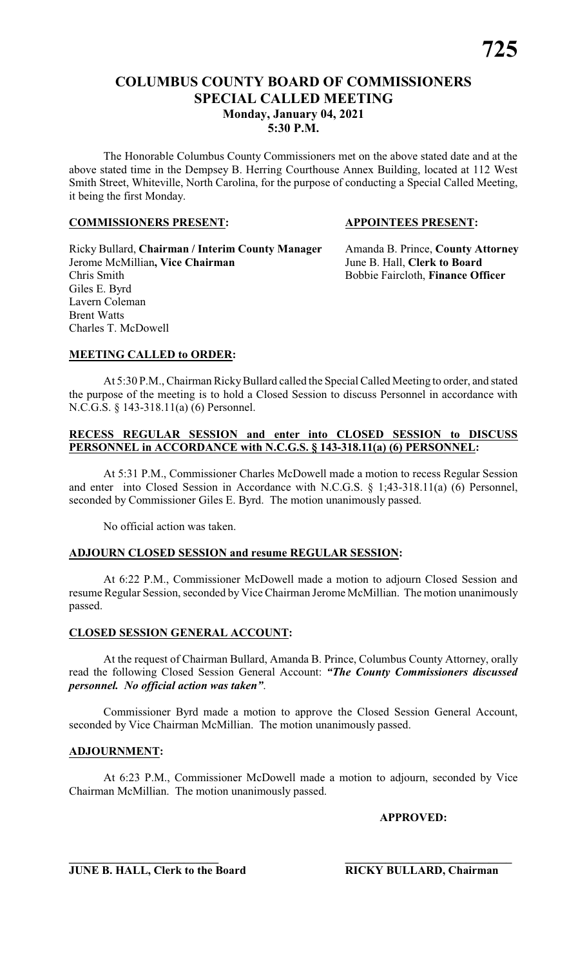# **COLUMBUS COUNTY BOARD OF COMMISSIONERS SPECIAL CALLED MEETING Monday, January 04, 2021 5:30 P.M.**

The Honorable Columbus County Commissioners met on the above stated date and at the above stated time in the Dempsey B. Herring Courthouse Annex Building, located at 112 West Smith Street, Whiteville, North Carolina, for the purpose of conducting a Special Called Meeting, it being the first Monday.

#### **COMMISSIONERS PRESENT: APPOINTEES PRESENT:**

Ricky Bullard, **Chairman / Interim County Manager** Amanda B. Prince, **County Attorney** Jerome McMillian**, Vice Chairman** June B. Hall, **Clerk to Board** Giles E. Byrd Lavern Coleman Brent Watts Charles T. McDowell

Bobbie Faircloth, **Finance Officer** 

#### **MEETING CALLED to ORDER:**

At 5:30 P.M., Chairman Ricky Bullard called the Special Called Meeting to order, and stated the purpose of the meeting is to hold a Closed Session to discuss Personnel in accordance with N.C.G.S. § 143-318.11(a) (6) Personnel.

#### **RECESS REGULAR SESSION and enter into CLOSED SESSION to DISCUSS PERSONNEL in ACCORDANCE with N.C.G.S. § 143-318.11(a) (6) PERSONNEL:**

At 5:31 P.M., Commissioner Charles McDowell made a motion to recess Regular Session and enter into Closed Session in Accordance with N.C.G.S. § 1;43-318.11(a) (6) Personnel, seconded by Commissioner Giles E. Byrd. The motion unanimously passed.

No official action was taken.

#### **ADJOURN CLOSED SESSION and resume REGULAR SESSION:**

At 6:22 P.M., Commissioner McDowell made a motion to adjourn Closed Session and resume Regular Session, seconded by Vice Chairman Jerome McMillian. The motion unanimously passed.

#### **CLOSED SESSION GENERAL ACCOUNT:**

At the request of Chairman Bullard, Amanda B. Prince, Columbus County Attorney, orally read the following Closed Session General Account: *"The County Commissioners discussed personnel. No official action was taken"*.

Commissioner Byrd made a motion to approve the Closed Session General Account, seconded by Vice Chairman McMillian. The motion unanimously passed.

#### **ADJOURNMENT:**

At 6:23 P.M., Commissioner McDowell made a motion to adjourn, seconded by Vice Chairman McMillian. The motion unanimously passed.

**\_\_\_\_\_\_\_\_\_\_\_\_\_\_\_\_\_\_\_\_\_\_\_\_\_\_ \_\_\_\_\_\_\_\_\_\_\_\_\_\_\_\_\_\_\_\_\_\_\_\_\_\_\_\_\_**

**APPROVED:**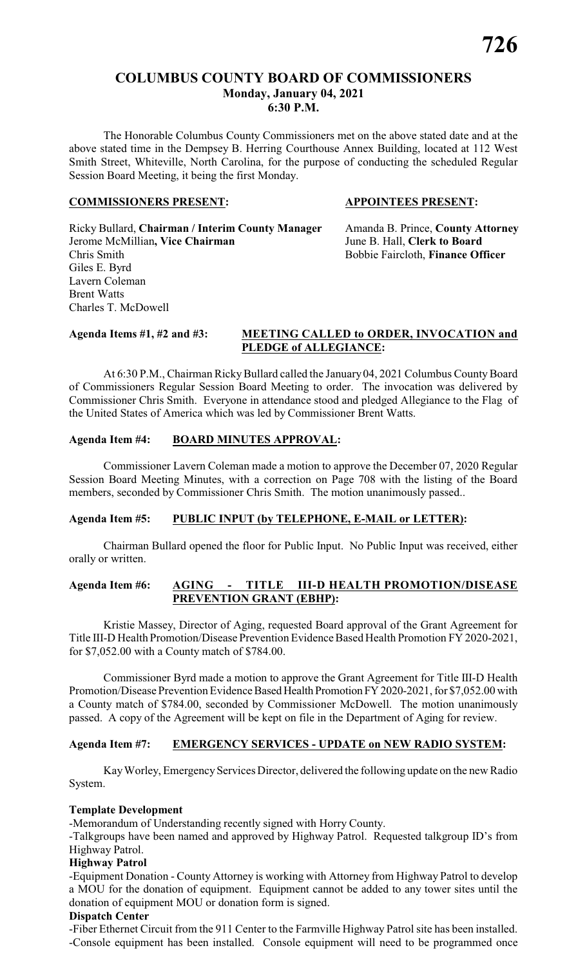The Honorable Columbus County Commissioners met on the above stated date and at the above stated time in the Dempsey B. Herring Courthouse Annex Building, located at 112 West Smith Street, Whiteville, North Carolina, for the purpose of conducting the scheduled Regular Session Board Meeting, it being the first Monday.

#### **COMMISSIONERS PRESENT: APPOINTEES PRESENT:**

Ricky Bullard, **Chairman / Interim County Manager** Amanda B. Prince, **County Attorney** Jerome McMillian**, Vice Chairman** June B. Hall, **Clerk to Board** Chris Smith Bobbie Faircloth, **Finance Officer** Giles E. Byrd Lavern Coleman Brent Watts Charles T. McDowell

**726**

#### **Agenda Items #1, #2 and #3: MEETING CALLED to ORDER, INVOCATION and PLEDGE of ALLEGIANCE:**

At 6:30 P.M., Chairman Ricky Bullard called the January 04, 2021 Columbus County Board of Commissioners Regular Session Board Meeting to order. The invocation was delivered by Commissioner Chris Smith. Everyone in attendance stood and pledged Allegiance to the Flag of the United States of America which was led by Commissioner Brent Watts.

# **Agenda Item #4: BOARD MINUTES APPROVAL:**

Commissioner Lavern Coleman made a motion to approve the December 07, 2020 Regular Session Board Meeting Minutes, with a correction on Page 708 with the listing of the Board members, seconded by Commissioner Chris Smith. The motion unanimously passed..

#### **Agenda Item #5: PUBLIC INPUT (by TELEPHONE, E-MAIL or LETTER):**

Chairman Bullard opened the floor for Public Input. No Public Input was received, either orally or written.

# **Agenda Item #6: AGING - TITLE III-D HEALTH PROMOTION/DISEASE PREVENTION GRANT (EBHP):**

Kristie Massey, Director of Aging, requested Board approval of the Grant Agreement for Title III-D Health Promotion/Disease Prevention Evidence Based Health Promotion FY 2020-2021, for \$7,052.00 with a County match of \$784.00.

Commissioner Byrd made a motion to approve the Grant Agreement for Title III-D Health Promotion/Disease Prevention Evidence Based Health Promotion FY 2020-2021, for \$7,052.00 with a County match of \$784.00, seconded by Commissioner McDowell. The motion unanimously passed. A copy of the Agreement will be kept on file in the Department of Aging for review.

#### **Agenda Item #7: EMERGENCY SERVICES - UPDATE on NEW RADIO SYSTEM:**

Kay Worley, Emergency Services Director, delivered the following update on the new Radio System.

#### **Template Development**

-Memorandum of Understanding recently signed with Horry County.

-Talkgroups have been named and approved by Highway Patrol. Requested talkgroup ID's from Highway Patrol.

## **Highway Patrol**

-Equipment Donation - County Attorney is working with Attorney from Highway Patrol to develop a MOU for the donation of equipment. Equipment cannot be added to any tower sites until the donation of equipment MOU or donation form is signed.

#### **Dispatch Center**

-Fiber Ethernet Circuit from the 911 Center to the Farmville Highway Patrol site has been installed. -Console equipment has been installed. Console equipment will need to be programmed once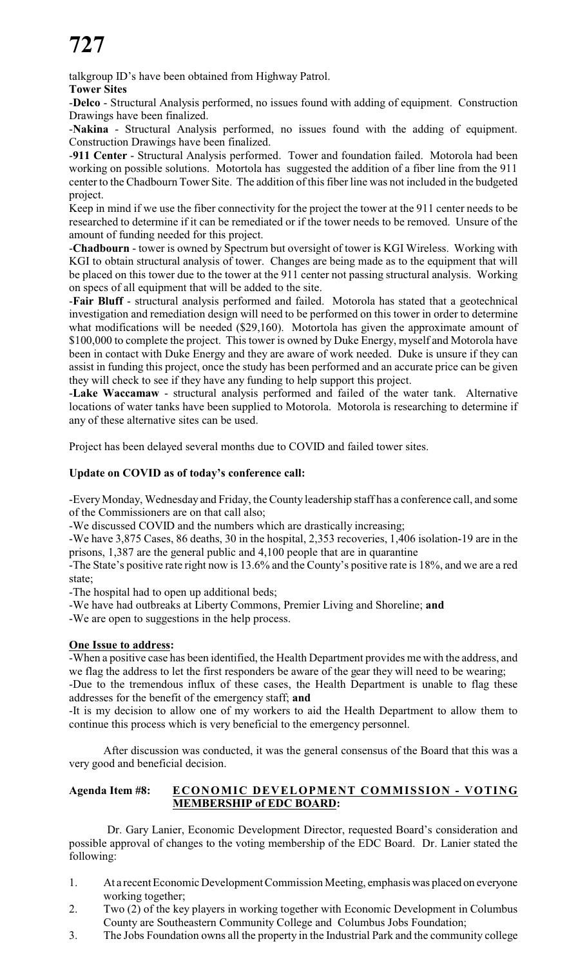talkgroup ID's have been obtained from Highway Patrol.

**Tower Sites**

-**Delco** - Structural Analysis performed, no issues found with adding of equipment. Construction Drawings have been finalized.

-**Nakina** - Structural Analysis performed, no issues found with the adding of equipment. Construction Drawings have been finalized.

-**911 Center** - Structural Analysis performed. Tower and foundation failed. Motorola had been working on possible solutions. Motortola has suggested the addition of a fiber line from the 911 center to the Chadbourn Tower Site. The addition of this fiber line was not included in the budgeted project.

Keep in mind if we use the fiber connectivity for the project the tower at the 911 center needs to be researched to determine if it can be remediated or if the tower needs to be removed. Unsure of the amount of funding needed for this project.

-**Chadbourn** - tower is owned by Spectrum but oversight of tower is KGI Wireless. Working with KGI to obtain structural analysis of tower. Changes are being made as to the equipment that will be placed on this tower due to the tower at the 911 center not passing structural analysis. Working on specs of all equipment that will be added to the site.

-**Fair Bluff** - structural analysis performed and failed. Motorola has stated that a geotechnical investigation and remediation design will need to be performed on this tower in order to determine what modifications will be needed (\$29,160). Motortola has given the approximate amount of \$100,000 to complete the project. This tower is owned by Duke Energy, myself and Motorola have been in contact with Duke Energy and they are aware of work needed. Duke is unsure if they can assist in funding this project, once the study has been performed and an accurate price can be given they will check to see if they have any funding to help support this project.

-**Lake Waccamaw** - structural analysis performed and failed of the water tank. Alternative locations of water tanks have been supplied to Motorola. Motorola is researching to determine if any of these alternative sites can be used.

Project has been delayed several months due to COVID and failed tower sites.

# **Update on COVID as of today's conference call:**

-EveryMonday, Wednesday and Friday, the County leadership staff has a conference call, and some of the Commissioners are on that call also;

-We discussed COVID and the numbers which are drastically increasing;

-We have 3,875 Cases, 86 deaths, 30 in the hospital, 2,353 recoveries, 1,406 isolation-19 are in the prisons, 1,387 are the general public and 4,100 people that are in quarantine

-The State's positive rate right now is 13.6% and the County's positive rate is 18%, and we are a red state;

-The hospital had to open up additional beds;

-We have had outbreaks at Liberty Commons, Premier Living and Shoreline; **and**

-We are open to suggestions in the help process.

#### **One Issue to address:**

-When a positive case has been identified, the Health Department provides me with the address, and we flag the address to let the first responders be aware of the gear they will need to be wearing;

-Due to the tremendous influx of these cases, the Health Department is unable to flag these addresses for the benefit of the emergency staff; **and**

-It is my decision to allow one of my workers to aid the Health Department to allow them to continue this process which is very beneficial to the emergency personnel.

After discussion was conducted, it was the general consensus of the Board that this was a very good and beneficial decision.

# **Agenda Item #8: ECONOMIC DEVELOPMENT COMMISSION - VOTING MEMBERSHIP of EDC BOARD:**

Dr. Gary Lanier, Economic Development Director, requested Board's consideration and possible approval of changes to the voting membership of the EDC Board. Dr. Lanier stated the following:

- 1. At a recent Economic Development Commission Meeting, emphasis was placed on everyone working together;
- 2. Two (2) of the key players in working together with Economic Development in Columbus County are Southeastern Community College and Columbus Jobs Foundation;
- 3. The Jobs Foundation owns all the property in the Industrial Park and the community college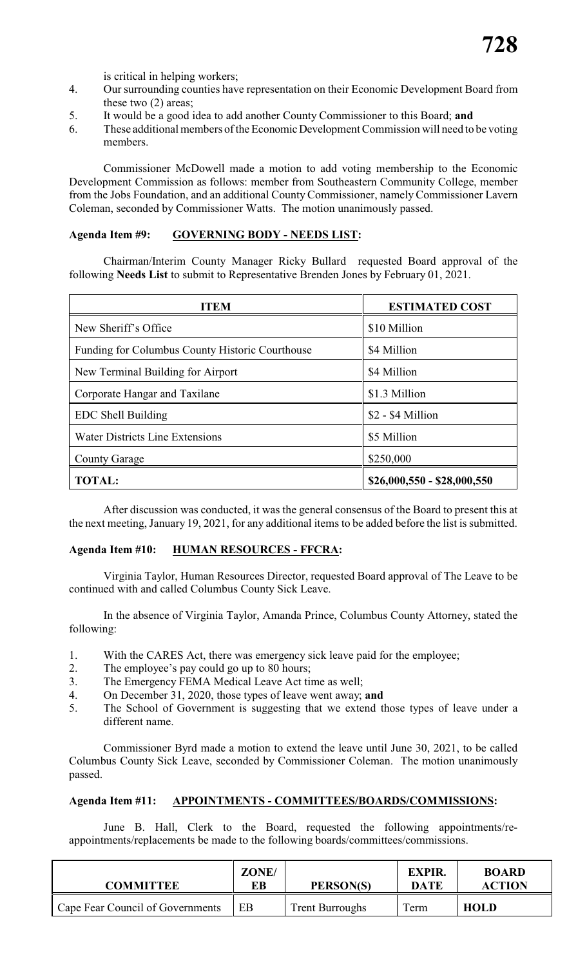is critical in helping workers;

- 4. Our surrounding counties have representation on their Economic Development Board from these two (2) areas;
- 5. It would be a good idea to add another County Commissioner to this Board; **and**
- 6. These additional members of the EconomicDevelopment Commission will need to be voting members.

Commissioner McDowell made a motion to add voting membership to the Economic Development Commission as follows: member from Southeastern Community College, member from the Jobs Foundation, and an additional County Commissioner, namely Commissioner Lavern Coleman, seconded by Commissioner Watts. The motion unanimously passed.

# **Agenda Item #9: GOVERNING BODY - NEEDS LIST:**

Chairman/Interim County Manager Ricky Bullard requested Board approval of the following **Needs List** to submit to Representative Brenden Jones by February 01, 2021.

| ITEM                                            | <b>ESTIMATED COST</b>       |  |
|-------------------------------------------------|-----------------------------|--|
| New Sheriff's Office                            | \$10 Million                |  |
| Funding for Columbus County Historic Courthouse | \$4 Million                 |  |
| New Terminal Building for Airport               | \$4 Million                 |  |
| Corporate Hangar and Taxilane                   | \$1.3 Million               |  |
| EDC Shell Building                              | \$2 - \$4 Million           |  |
| <b>Water Districts Line Extensions</b>          | \$5 Million                 |  |
| <b>County Garage</b>                            | \$250,000                   |  |
| <b>TOTAL:</b>                                   | $$26,000,550 - $28,000,550$ |  |

After discussion was conducted, it was the general consensus of the Board to present this at the next meeting, January 19, 2021, for any additional items to be added before the list is submitted.

#### **Agenda Item #10: HUMAN RESOURCES - FFCRA:**

Virginia Taylor, Human Resources Director, requested Board approval of The Leave to be continued with and called Columbus County Sick Leave.

In the absence of Virginia Taylor, Amanda Prince, Columbus County Attorney, stated the following:

- 1. With the CARES Act, there was emergency sick leave paid for the employee;
- 2. The employee's pay could go up to 80 hours;
- 3. The Emergency FEMA Medical Leave Act time as well;
- 4. On December 31, 2020, those types of leave went away; **and**
- 5. The School of Government is suggesting that we extend those types of leave under a different name.

Commissioner Byrd made a motion to extend the leave until June 30, 2021, to be called Columbus County Sick Leave, seconded by Commissioner Coleman. The motion unanimously passed.

# **Agenda Item #11: APPOINTMENTS - COMMITTEES/BOARDS/COMMISSIONS:**

June B. Hall, Clerk to the Board, requested the following appointments/reappointments/replacements be made to the following boards/committees/commissions.

| <b>COMMITTEE</b>                 | ZONE/<br>EВ | PERSON(S)              | <b>EXPIR.</b><br><b>DATE</b> | <b>BOARD</b><br><b>ACTION</b> |
|----------------------------------|-------------|------------------------|------------------------------|-------------------------------|
| Cape Fear Council of Governments | EВ          | <b>Trent Burroughs</b> | Term                         | <b>HOLD</b>                   |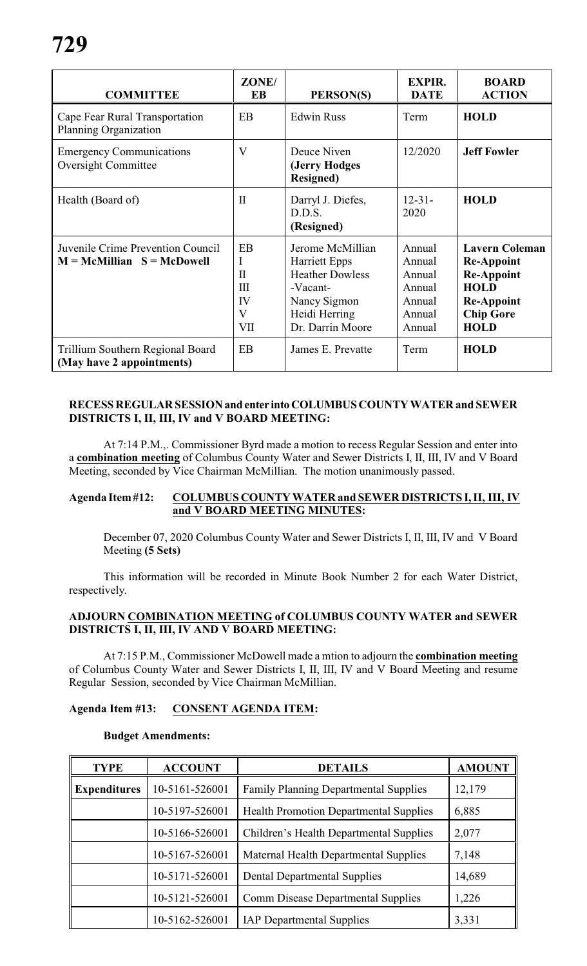| <b>COMMITTEE</b>                                                  | ZONE/<br>EB                                                     | PERSON(S)                                                                                                                           | <b>EXPIR.</b><br><b>DATE</b>                                       | <b>BOARD</b><br><b>ACTION</b>                                                                                                          |
|-------------------------------------------------------------------|-----------------------------------------------------------------|-------------------------------------------------------------------------------------------------------------------------------------|--------------------------------------------------------------------|----------------------------------------------------------------------------------------------------------------------------------------|
| Cape Fear Rural Transportation<br><b>Planning Organization</b>    | <b>EB</b>                                                       | <b>Edwin Russ</b>                                                                                                                   | Term                                                               | <b>HOLD</b>                                                                                                                            |
| <b>Emergency Communications</b><br><b>Oversight Committee</b>     | $\overline{\mathsf{V}}$                                         | Deuce Niven<br>(Jerry Hodges<br><b>Resigned</b> )                                                                                   | 12/2020                                                            | <b>Jeff Fowler</b>                                                                                                                     |
| Health (Board of)                                                 | $\Pi$                                                           | Darryl J. Diefes,<br>D.D.S.<br>(Resigned)                                                                                           | $12 - 31 -$<br>2020                                                | <b>HOLD</b>                                                                                                                            |
| Juvenile Crime Prevention Council<br>$M = McMillian S = McDowell$ | EB<br>I<br>$\Pi$<br>III<br>IV<br>$\overline{\mathbf{V}}$<br>VII | Jerome McMillian<br><b>Harriett Epps</b><br><b>Heather Dowless</b><br>-Vacant-<br>Nancy Sigmon<br>Heidi Herring<br>Dr. Darrin Moore | Annual<br>Annual<br>Annual<br>Annual<br>Annual<br>Annual<br>Annual | <b>Lavern Coleman</b><br><b>Re-Appoint</b><br><b>Re-Appoint</b><br><b>HOLD</b><br><b>Re-Appoint</b><br><b>Chip Gore</b><br><b>HOLD</b> |
| Trillium Southern Regional Board<br>(May have 2 appointments)     | EB                                                              | James E. Prevatte                                                                                                                   | Term                                                               | <b>HOLD</b>                                                                                                                            |

#### **RECESS REGULAR SESSIONand enter intoCOLUMBUS COUNTY WATER and SEWER DISTRICTS I, II, III, IV and V BOARD MEETING:**

At 7:14 P.M.,. Commissioner Byrd made a motion to recess Regular Session and enter into a **combination meeting** of Columbus County Water and Sewer Districts I, II, III, IV and V Board Meeting, seconded by Vice Chairman McMillian. The motion unanimously passed.

#### **Agenda Item#12: COLUMBUS COUNTY WATER and SEWER DISTRICTS I, II, III, IV and V BOARD MEETING MINUTES:**

December 07, 2020 Columbus County Water and Sewer Districts I, II, III, IV and V Board Meeting **(5 Sets)**

This information will be recorded in Minute Book Number 2 for each Water District, respectively.

#### **ADJOURN COMBINATION MEETING of COLUMBUS COUNTY WATER and SEWER DISTRICTS I, II, III, IV AND V BOARD MEETING:**

At 7:15 P.M., Commissioner McDowell made a mtion to adjourn the **combination meeting** of Columbus County Water and Sewer Districts I, II, III, IV and V Board Meeting and resume Regular Session, seconded by Vice Chairman McMillian.

#### **Agenda Item #13: CONSENT AGENDA ITEM:**

#### **Budget Amendments:**

| <b>TYPE</b>         | <b>ACCOUNT</b> | <b>DETAILS</b>                                | <b>AMOUNT</b> |
|---------------------|----------------|-----------------------------------------------|---------------|
| <b>Expenditures</b> | 10-5161-526001 | <b>Family Planning Departmental Supplies</b>  | 12,179        |
|                     | 10-5197-526001 | <b>Health Promotion Departmental Supplies</b> | 6,885         |
|                     | 10-5166-526001 | Children's Health Departmental Supplies       | 2,077         |
|                     | 10-5167-526001 | Maternal Health Departmental Supplies         | 7,148         |
|                     | 10-5171-526001 | <b>Dental Departmental Supplies</b>           | 14,689        |
|                     | 10-5121-526001 | <b>Comm Disease Departmental Supplies</b>     | 1,226         |
|                     | 10-5162-526001 | <b>IAP Departmental Supplies</b>              | 3,331         |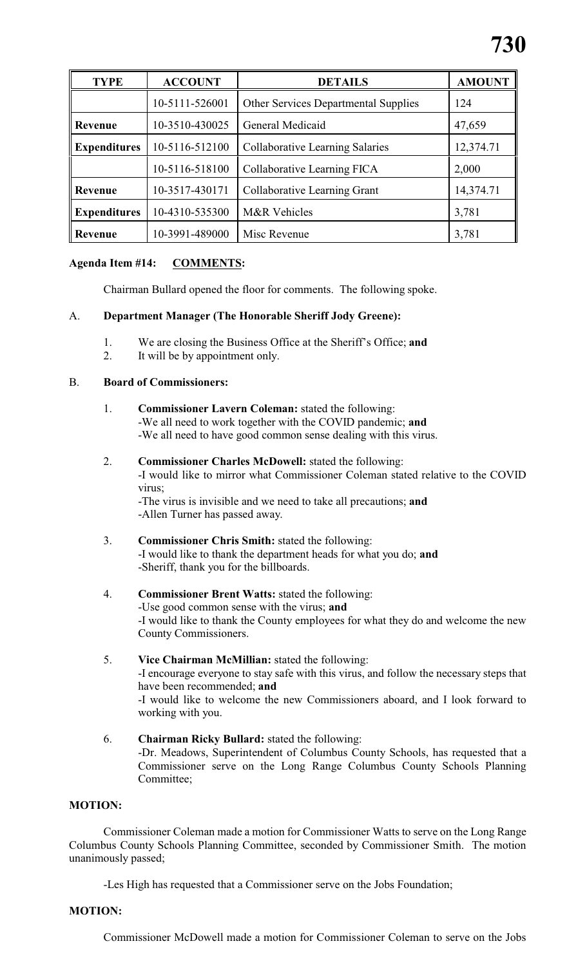| <b>TYPE</b>         | <b>ACCOUNT</b> | <b>DETAILS</b>                              | <b>AMOUNT</b> |
|---------------------|----------------|---------------------------------------------|---------------|
|                     | 10-5111-526001 | <b>Other Services Departmental Supplies</b> | 124           |
| Revenue             | 10-3510-430025 | General Medicaid                            | 47,659        |
| <b>Expenditures</b> | 10-5116-512100 | <b>Collaborative Learning Salaries</b>      | 12,374.71     |
|                     | 10-5116-518100 | Collaborative Learning FICA                 | 2,000         |
| Revenue             | 10-3517-430171 | Collaborative Learning Grant                | 14,374.71     |
| <b>Expenditures</b> | 10-4310-535300 | <b>M&amp;R</b> Vehicles                     | 3,781         |
| Revenue             | 10-3991-489000 | Misc Revenue                                | 3,781         |

# **Agenda Item #14: COMMENTS:**

Chairman Bullard opened the floor for comments. The following spoke.

# A. **Department Manager (The Honorable Sheriff Jody Greene):**

- 1. We are closing the Business Office at the Sheriff's Office; **and**
- 2. It will be by appointment only.

# B. **Board of Commissioners:**

- 1. **Commissioner Lavern Coleman:** stated the following: -We all need to work together with the COVID pandemic; **and** -We all need to have good common sense dealing with this virus.
- 2. **Commissioner Charles McDowell:** stated the following: -I would like to mirror what Commissioner Coleman stated relative to the COVID virus; -The virus is invisible and we need to take all precautions; **and** -Allen Turner has passed away.
- 3. **Commissioner Chris Smith:** stated the following: -I would like to thank the department heads for what you do; **and** -Sheriff, thank you for the billboards.

### 4. **Commissioner Brent Watts:** stated the following: -Use good common sense with the virus; **and** -I would like to thank the County employees for what they do and welcome the new County Commissioners.

- 5. **Vice Chairman McMillian:** stated the following: -I encourage everyone to stay safe with this virus, and follow the necessary steps that have been recommended; **and** -I would like to welcome the new Commissioners aboard, and I look forward to working with you.
- 6. **Chairman Ricky Bullard:** stated the following: -Dr. Meadows, Superintendent of Columbus County Schools, has requested that a Commissioner serve on the Long Range Columbus County Schools Planning Committee;

#### **MOTION:**

Commissioner Coleman made a motion for Commissioner Watts to serve on the Long Range Columbus County Schools Planning Committee, seconded by Commissioner Smith. The motion unanimously passed;

-Les High has requested that a Commissioner serve on the Jobs Foundation;

#### **MOTION:**

Commissioner McDowell made a motion for Commissioner Coleman to serve on the Jobs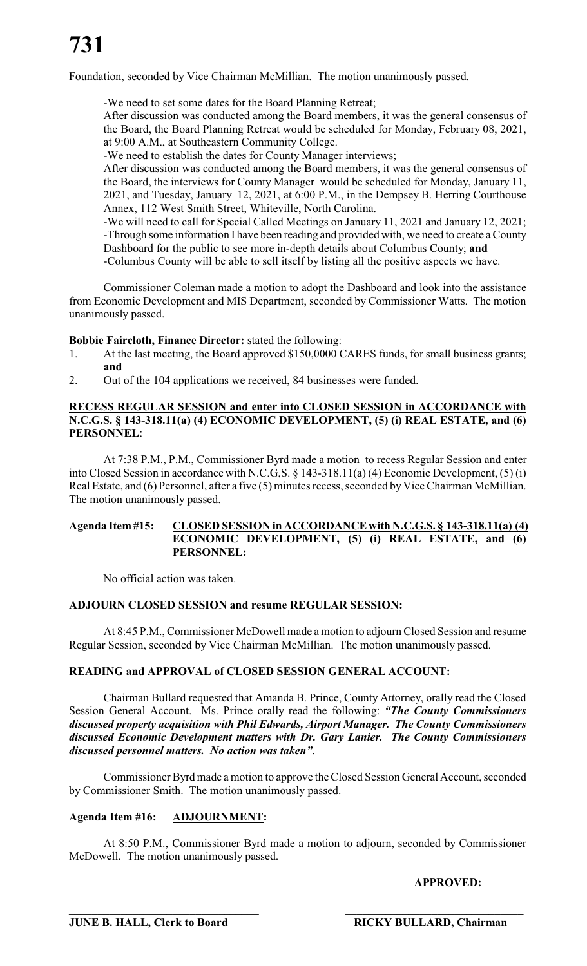# **731**

Foundation, seconded by Vice Chairman McMillian. The motion unanimously passed.

-We need to set some dates for the Board Planning Retreat;

After discussion was conducted among the Board members, it was the general consensus of the Board, the Board Planning Retreat would be scheduled for Monday, February 08, 2021, at 9:00 A.M., at Southeastern Community College.

-We need to establish the dates for County Manager interviews;

After discussion was conducted among the Board members, it was the general consensus of the Board, the interviews for County Manager would be scheduled for Monday, January 11, 2021, and Tuesday, January 12, 2021, at 6:00 P.M., in the Dempsey B. Herring Courthouse Annex, 112 West Smith Street, Whiteville, North Carolina.

-We will need to call for Special Called Meetings on January 11, 2021 and January 12, 2021; -Through some information I have been reading and provided with, we need to create a County Dashboard for the public to see more in-depth details about Columbus County; **and** -Columbus County will be able to sell itself by listing all the positive aspects we have.

Commissioner Coleman made a motion to adopt the Dashboard and look into the assistance from Economic Development and MIS Department, seconded by Commissioner Watts. The motion unanimously passed.

# **Bobbie Faircloth, Finance Director:** stated the following:

- 1. At the last meeting, the Board approved \$150,0000 CARES funds, for small business grants; **and**
- 2. Out of the 104 applications we received, 84 businesses were funded.

#### **RECESS REGULAR SESSION and enter into CLOSED SESSION in ACCORDANCE with N.C.G.S. § 143-318.11(a) (4) ECONOMIC DEVELOPMENT, (5) (i) REAL ESTATE, and (6) PERSONNEL**:

At 7:38 P.M., P.M., Commissioner Byrd made a motion to recess Regular Session and enter into Closed Session in accordance with N.C.G,S. § 143-318.11(a) (4) Economic Development, (5) (i) Real Estate, and (6) Personnel, after a five (5) minutes recess, seconded by Vice Chairman McMillian. The motion unanimously passed.

#### **Agenda Item #15: CLOSED SESSION in ACCORDANCE with N.C.G.S. § 143-318.11(a) (4) ECONOMIC DEVELOPMENT, (5) (i) REAL ESTATE, and (6) PERSONNEL:**

No official action was taken.

#### **ADJOURN CLOSED SESSION and resume REGULAR SESSION:**

At 8:45 P.M., Commissioner McDowell made a motion to adjourn Closed Session and resume Regular Session, seconded by Vice Chairman McMillian. The motion unanimously passed.

# **READING and APPROVAL of CLOSED SESSION GENERAL ACCOUNT:**

Chairman Bullard requested that Amanda B. Prince, County Attorney, orally read the Closed Session General Account. Ms. Prince orally read the following: *"The County Commissioners discussed property acquisition with Phil Edwards, Airport Manager. The County Commissioners discussed Economic Development matters with Dr. Gary Lanier. The County Commissioners discussed personnel matters. No action was taken"*.

Commissioner Byrd made amotion to approve the Closed Session General Account, seconded by Commissioner Smith. The motion unanimously passed.

# **Agenda Item #16: ADJOURNMENT:**

At 8:50 P.M., Commissioner Byrd made a motion to adjourn, seconded by Commissioner McDowell. The motion unanimously passed.

**\_\_\_\_\_\_\_\_\_\_\_\_\_\_\_\_\_\_\_\_\_\_\_\_\_\_\_\_\_\_\_\_\_ \_\_\_\_\_\_\_\_\_\_\_\_\_\_\_\_\_\_\_\_\_\_\_\_\_\_\_\_\_\_\_**

# **APPROVED:**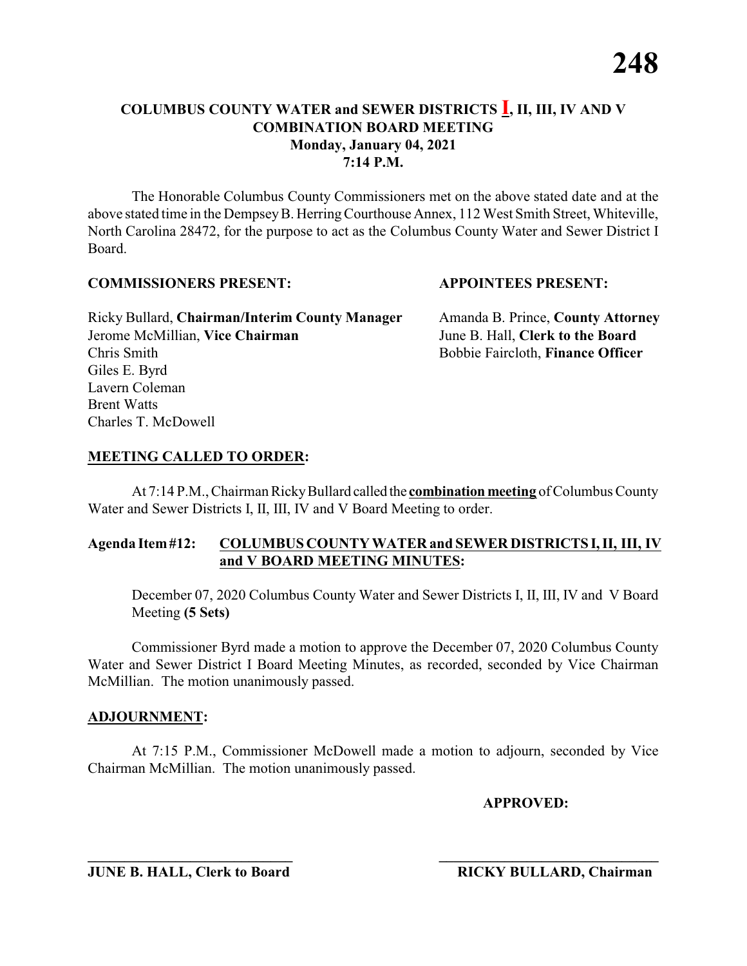The Honorable Columbus County Commissioners met on the above stated date and at the above stated time in the DempseyB. HerringCourthouse Annex, 112 West Smith Street, Whiteville, North Carolina 28472, for the purpose to act as the Columbus County Water and Sewer District I Board.

#### **COMMISSIONERS PRESENT: APPOINTEES PRESENT:**

Ricky Bullard, **Chairman/Interim County Manager** Amanda B. Prince, **County Attorney** Jerome McMillian, **Vice Chairman** June B. Hall, **Clerk to the Board** Chris Smith Bobbie Faircloth, **Finance Officer** Giles E. Byrd Lavern Coleman Brent Watts Charles T. McDowell

### **MEETING CALLED TO ORDER:**

At 7:14 P.M., Chairman RickyBullard called the **combination meeting** of Columbus County Water and Sewer Districts I, II, III, IV and V Board Meeting to order.

### **Agenda Item#12: COLUMBUS COUNTY WATER and SEWER DISTRICTS I, II, III, IV and V BOARD MEETING MINUTES:**

December 07, 2020 Columbus County Water and Sewer Districts I, II, III, IV and V Board Meeting **(5 Sets)**

Commissioner Byrd made a motion to approve the December 07, 2020 Columbus County Water and Sewer District I Board Meeting Minutes, as recorded, seconded by Vice Chairman McMillian. The motion unanimously passed.

#### **ADJOURNMENT:**

At 7:15 P.M., Commissioner McDowell made a motion to adjourn, seconded by Vice Chairman McMillian. The motion unanimously passed.

**\_\_\_\_\_\_\_\_\_\_\_\_\_\_\_\_\_\_\_\_\_\_\_\_\_\_\_\_ \_\_\_\_\_\_\_\_\_\_\_\_\_\_\_\_\_\_\_\_\_\_\_\_\_\_\_\_\_\_**

**APPROVED:**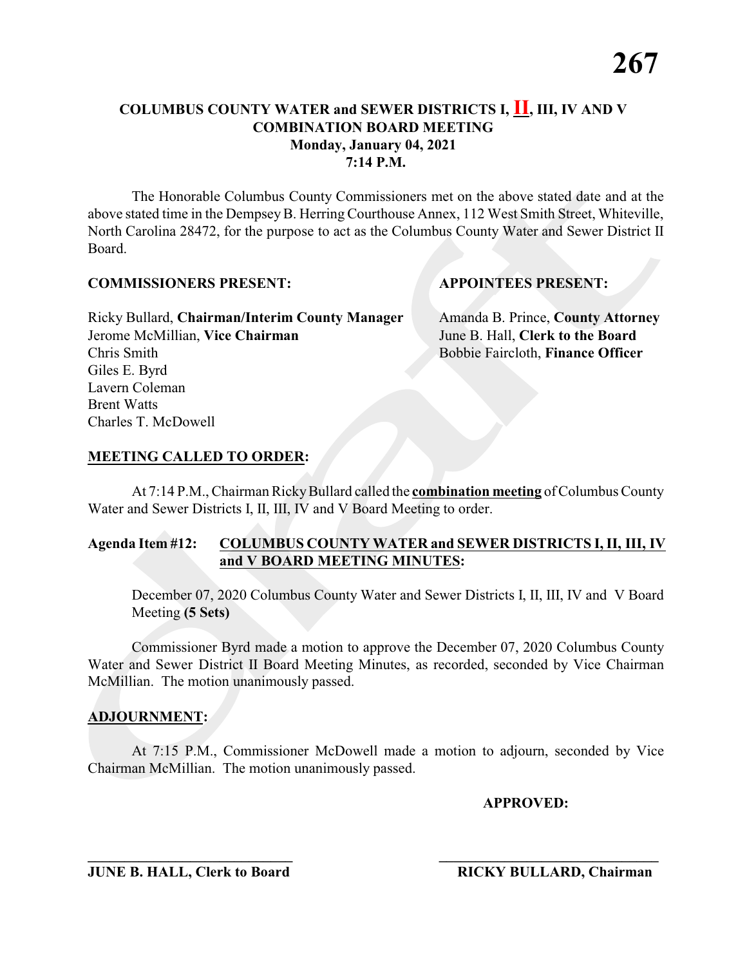The Honorable Columbus County Commissioners met on the above stated date and at the above stated time in the Dempsey B. Herring Courthouse Annex, 112 West Smith Street, Whiteville, North Carolina 28472, for the purpose to act as the Columbus County Water and Sewer District II Board.

#### **COMMISSIONERS PRESENT: APPOINTEES PRESENT:**

Ricky Bullard, **Chairman/Interim County Manager** Amanda B. Prince, **County Attorney** Jerome McMillian, **Vice Chairman** June B. Hall, **Clerk to the Board** Chris Smith Bobbie Faircloth, **Finance Officer** Giles E. Byrd Lavern Coleman Brent Watts Charles T. McDowell

### **MEETING CALLED TO ORDER:**

At 7:14 P.M., Chairman RickyBullard called the **combination meeting** of Columbus County Water and Sewer Districts I, II, III, IV and V Board Meeting to order.

### **Agenda Item #12: COLUMBUS COUNTY WATER and SEWER DISTRICTS I, II, III, IV and V BOARD MEETING MINUTES:**

December 07, 2020 Columbus County Water and Sewer Districts I, II, III, IV and V Board Meeting **(5 Sets)**

Commissioner Byrd made a motion to approve the December 07, 2020 Columbus County Water and Sewer District II Board Meeting Minutes, as recorded, seconded by Vice Chairman McMillian. The motion unanimously passed.

### **ADJOURNMENT:**

At 7:15 P.M., Commissioner McDowell made a motion to adjourn, seconded by Vice Chairman McMillian. The motion unanimously passed.

**\_\_\_\_\_\_\_\_\_\_\_\_\_\_\_\_\_\_\_\_\_\_\_\_\_\_\_\_ \_\_\_\_\_\_\_\_\_\_\_\_\_\_\_\_\_\_\_\_\_\_\_\_\_\_\_\_\_\_**

**APPROVED:**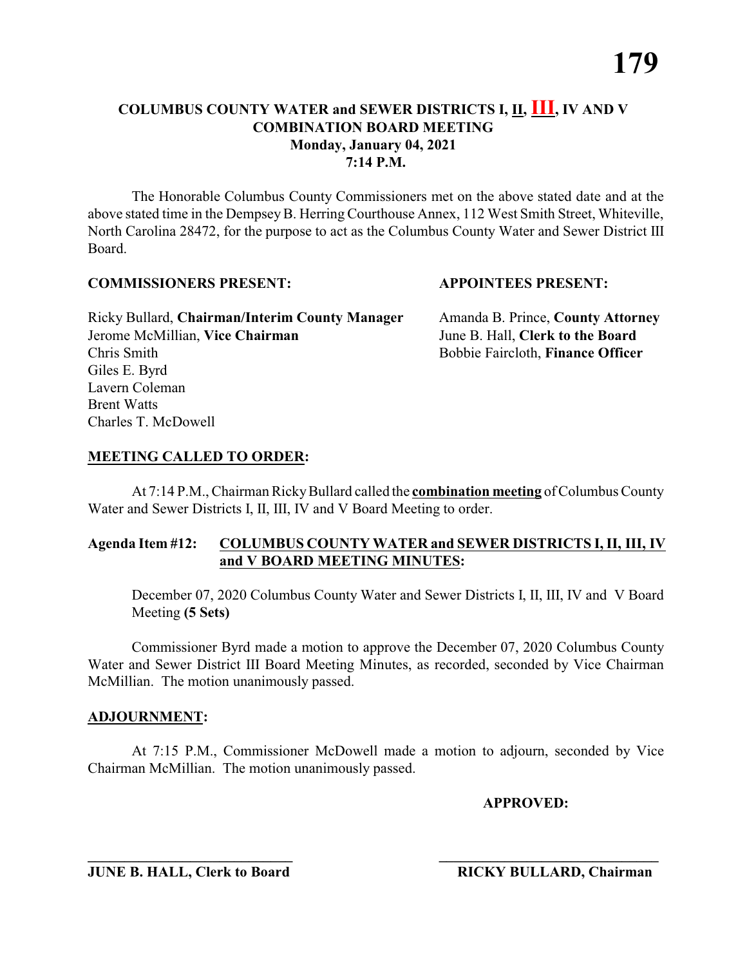The Honorable Columbus County Commissioners met on the above stated date and at the above stated time in the Dempsey B. Herring Courthouse Annex, 112 West Smith Street, Whiteville, North Carolina 28472, for the purpose to act as the Columbus County Water and Sewer District III Board.

### **COMMISSIONERS PRESENT: APPOINTEES PRESENT:**

Ricky Bullard, **Chairman/Interim County Manager** Amanda B. Prince, **County Attorney** Jerome McMillian, **Vice Chairman** June B. Hall, **Clerk to the Board** Chris Smith Bobbie Faircloth, **Finance Officer** Giles E. Byrd Lavern Coleman Brent Watts Charles T. McDowell

# **MEETING CALLED TO ORDER:**

At 7:14 P.M., Chairman RickyBullard called the **combination meeting** of Columbus County Water and Sewer Districts I, II, III, IV and V Board Meeting to order.

### **Agenda Item #12: COLUMBUS COUNTY WATER and SEWER DISTRICTS I, II, III, IV and V BOARD MEETING MINUTES:**

December 07, 2020 Columbus County Water and Sewer Districts I, II, III, IV and V Board Meeting **(5 Sets)**

Commissioner Byrd made a motion to approve the December 07, 2020 Columbus County Water and Sewer District III Board Meeting Minutes, as recorded, seconded by Vice Chairman McMillian. The motion unanimously passed.

### **ADJOURNMENT:**

At 7:15 P.M., Commissioner McDowell made a motion to adjourn, seconded by Vice Chairman McMillian. The motion unanimously passed.

**\_\_\_\_\_\_\_\_\_\_\_\_\_\_\_\_\_\_\_\_\_\_\_\_\_\_\_\_ \_\_\_\_\_\_\_\_\_\_\_\_\_\_\_\_\_\_\_\_\_\_\_\_\_\_\_\_\_\_**

**APPROVED:**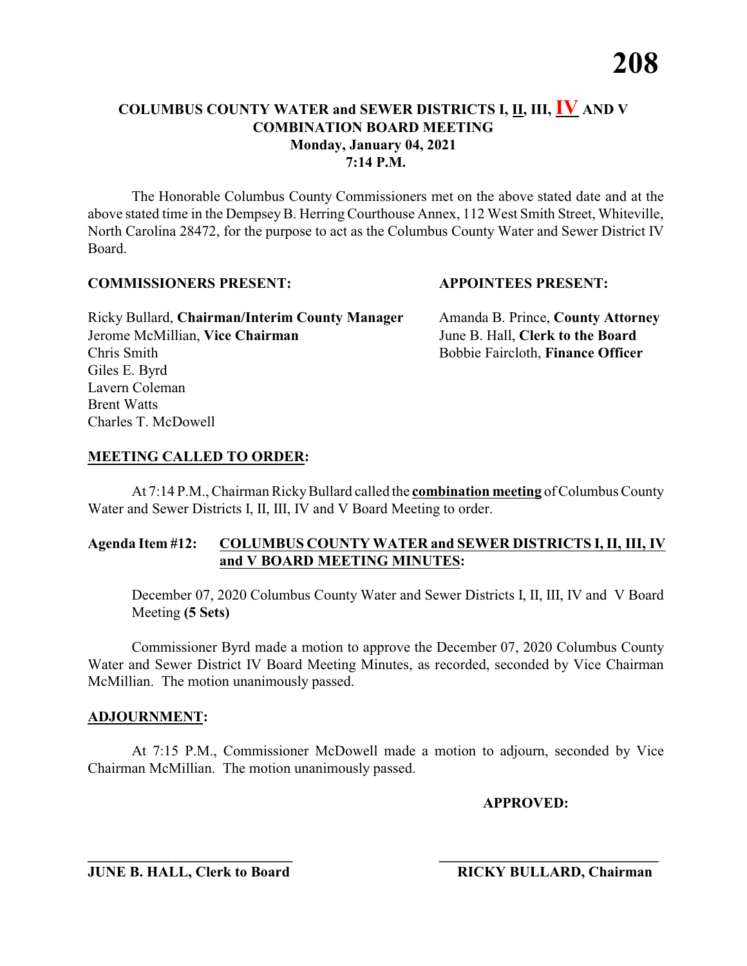The Honorable Columbus County Commissioners met on the above stated date and at the above stated time in the Dempsey B. Herring Courthouse Annex, 112 West Smith Street, Whiteville, North Carolina 28472, for the purpose to act as the Columbus County Water and Sewer District IV Board.

#### **COMMISSIONERS PRESENT: APPOINTEES PRESENT:**

Ricky Bullard, **Chairman/Interim County Manager** Amanda B. Prince, **County Attorney** Jerome McMillian, **Vice Chairman** June B. Hall, **Clerk to the Board** Chris Smith Bobbie Faircloth, **Finance Officer** Giles E. Byrd Lavern Coleman Brent Watts Charles T. McDowell

### **MEETING CALLED TO ORDER:**

At 7:14 P.M., Chairman RickyBullard called the **combination meeting** of Columbus County Water and Sewer Districts I, II, III, IV and V Board Meeting to order.

### **Agenda Item #12: COLUMBUS COUNTY WATER and SEWER DISTRICTS I, II, III, IV and V BOARD MEETING MINUTES:**

December 07, 2020 Columbus County Water and Sewer Districts I, II, III, IV and V Board Meeting **(5 Sets)**

Commissioner Byrd made a motion to approve the December 07, 2020 Columbus County Water and Sewer District IV Board Meeting Minutes, as recorded, seconded by Vice Chairman McMillian. The motion unanimously passed.

#### **ADJOURNMENT:**

At 7:15 P.M., Commissioner McDowell made a motion to adjourn, seconded by Vice Chairman McMillian. The motion unanimously passed.

**\_\_\_\_\_\_\_\_\_\_\_\_\_\_\_\_\_\_\_\_\_\_\_\_\_\_\_\_ \_\_\_\_\_\_\_\_\_\_\_\_\_\_\_\_\_\_\_\_\_\_\_\_\_\_\_\_\_\_**

**APPROVED:**